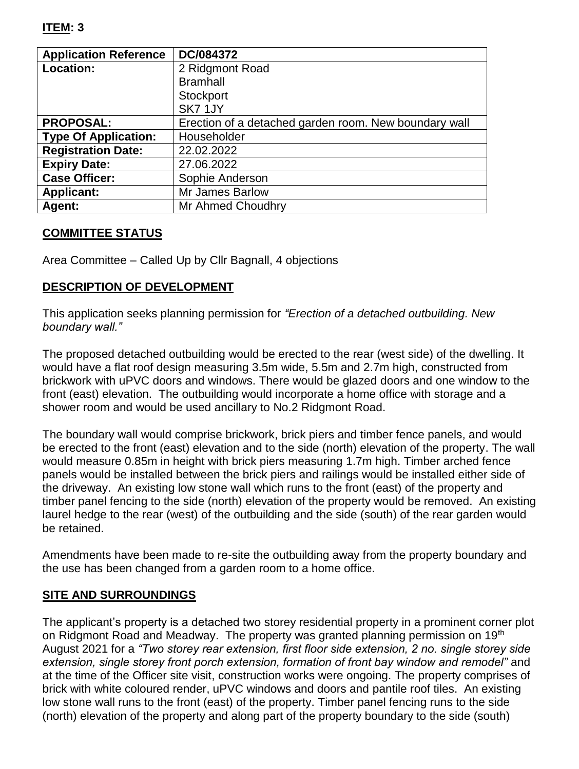## **ITEM: 3**

| <b>Application Reference</b> | DC/084372                                             |
|------------------------------|-------------------------------------------------------|
| <b>Location:</b>             | 2 Ridgmont Road                                       |
|                              | <b>Bramhall</b>                                       |
|                              | Stockport                                             |
|                              | SK71JY                                                |
| <b>PROPOSAL:</b>             | Erection of a detached garden room. New boundary wall |
| <b>Type Of Application:</b>  | Householder                                           |
| <b>Registration Date:</b>    | 22.02.2022                                            |
| <b>Expiry Date:</b>          | 27.06.2022                                            |
| <b>Case Officer:</b>         | Sophie Anderson                                       |
| <b>Applicant:</b>            | Mr James Barlow                                       |
| Agent:                       | Mr Ahmed Choudhry                                     |

### **COMMITTEE STATUS**

Area Committee – Called Up by Cllr Bagnall, 4 objections

### **DESCRIPTION OF DEVELOPMENT**

This application seeks planning permission for *"Erection of a detached outbuilding. New boundary wall."*

The proposed detached outbuilding would be erected to the rear (west side) of the dwelling. It would have a flat roof design measuring 3.5m wide, 5.5m and 2.7m high, constructed from brickwork with uPVC doors and windows. There would be glazed doors and one window to the front (east) elevation. The outbuilding would incorporate a home office with storage and a shower room and would be used ancillary to No.2 Ridgmont Road.

The boundary wall would comprise brickwork, brick piers and timber fence panels, and would be erected to the front (east) elevation and to the side (north) elevation of the property. The wall would measure 0.85m in height with brick piers measuring 1.7m high. Timber arched fence panels would be installed between the brick piers and railings would be installed either side of the driveway. An existing low stone wall which runs to the front (east) of the property and timber panel fencing to the side (north) elevation of the property would be removed. An existing laurel hedge to the rear (west) of the outbuilding and the side (south) of the rear garden would be retained.

Amendments have been made to re-site the outbuilding away from the property boundary and the use has been changed from a garden room to a home office.

### **SITE AND SURROUNDINGS**

The applicant's property is a detached two storey residential property in a prominent corner plot on Ridgmont Road and Meadway. The property was granted planning permission on 19<sup>th</sup> August 2021 for a *"Two storey rear extension, first floor side extension, 2 no. single storey side extension, single storey front porch extension, formation of front bay window and remodel"* and at the time of the Officer site visit, construction works were ongoing. The property comprises of brick with white coloured render, uPVC windows and doors and pantile roof tiles. An existing low stone wall runs to the front (east) of the property. Timber panel fencing runs to the side (north) elevation of the property and along part of the property boundary to the side (south)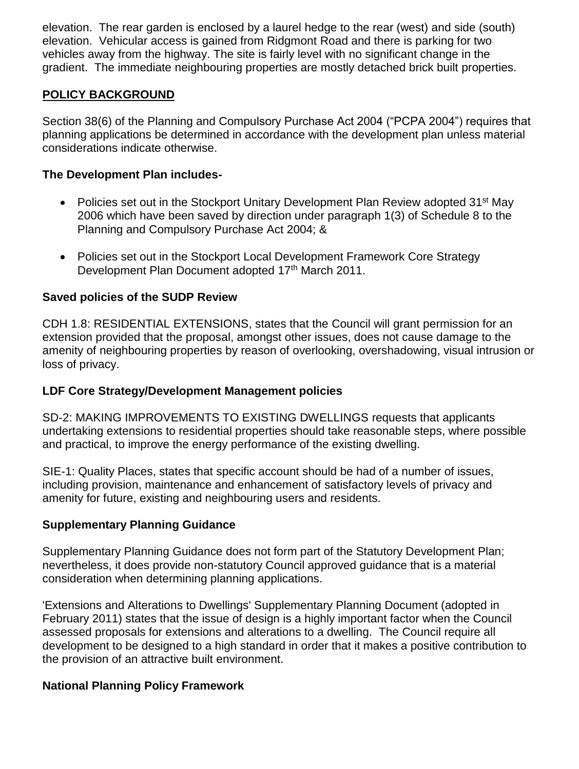elevation. The rear garden is enclosed by a laurel hedge to the rear (west) and side (south) elevation. Vehicular access is gained from Ridgmont Road and there is parking for two vehicles away from the highway. The site is fairly level with no significant change in the gradient. The immediate neighbouring properties are mostly detached brick built properties.

## **POLICY BACKGROUND**

Section 38(6) of the Planning and Compulsory Purchase Act 2004 ("PCPA 2004") requires that planning applications be determined in accordance with the development plan unless material considerations indicate otherwise.

### **The Development Plan includes-**

- Policies set out in the Stockport Unitary Development Plan Review adopted 31<sup>st</sup> May 2006 which have been saved by direction under paragraph 1(3) of Schedule 8 to the Planning and Compulsory Purchase Act 2004; &
- Policies set out in the Stockport Local Development Framework Core Strategy Development Plan Document adopted 17th March 2011.

### **Saved policies of the SUDP Review**

CDH 1.8: RESIDENTIAL EXTENSIONS, states that the Council will grant permission for an extension provided that the proposal, amongst other issues, does not cause damage to the amenity of neighbouring properties by reason of overlooking, overshadowing, visual intrusion or loss of privacy.

### **LDF Core Strategy/Development Management policies**

SD-2: MAKING IMPROVEMENTS TO EXISTING DWELLINGS requests that applicants undertaking extensions to residential properties should take reasonable steps, where possible and practical, to improve the energy performance of the existing dwelling.

SIE-1: Quality Places, states that specific account should be had of a number of issues, including provision, maintenance and enhancement of satisfactory levels of privacy and amenity for future, existing and neighbouring users and residents.

## **Supplementary Planning Guidance**

Supplementary Planning Guidance does not form part of the Statutory Development Plan; nevertheless, it does provide non-statutory Council approved guidance that is a material consideration when determining planning applications.

'Extensions and Alterations to Dwellings' Supplementary Planning Document (adopted in February 2011) states that the issue of design is a highly important factor when the Council assessed proposals for extensions and alterations to a dwelling. The Council require all development to be designed to a high standard in order that it makes a positive contribution to the provision of an attractive built environment.

### **National Planning Policy Framework**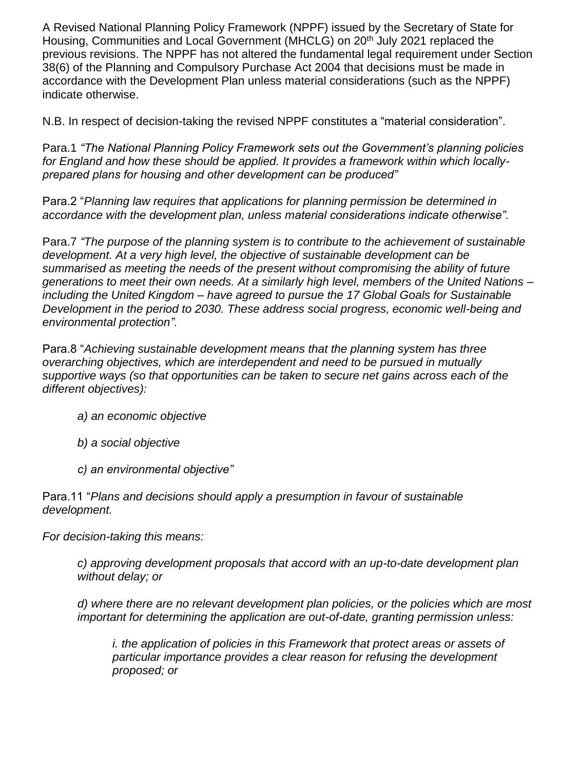A Revised National Planning Policy Framework (NPPF) issued by the Secretary of State for Housing, Communities and Local Government (MHCLG) on 20<sup>th</sup> July 2021 replaced the previous revisions. The NPPF has not altered the fundamental legal requirement under Section 38(6) of the Planning and Compulsory Purchase Act 2004 that decisions must be made in accordance with the Development Plan unless material considerations (such as the NPPF) indicate otherwise.

N.B. In respect of decision-taking the revised NPPF constitutes a "material consideration".

Para.1 *"The National Planning Policy Framework sets out the Government's planning policies for England and how these should be applied. It provides a framework within which locallyprepared plans for housing and other development can be produced"*

Para.2 "*Planning law requires that applications for planning permission be determined in accordance with the development plan, unless material considerations indicate otherwise".*

Para.7 *"The purpose of the planning system is to contribute to the achievement of sustainable development. At a very high level, the objective of sustainable development can be summarised as meeting the needs of the present without compromising the ability of future generations to meet their own needs. At a similarly high level, members of the United Nations – including the United Kingdom – have agreed to pursue the 17 Global Goals for Sustainable Development in the period to 2030. These address social progress, economic well-being and environmental protection".*

Para.8 "*Achieving sustainable development means that the planning system has three overarching objectives, which are interdependent and need to be pursued in mutually supportive ways (so that opportunities can be taken to secure net gains across each of the different objectives):*

- *a) an economic objective*
- *b) a social objective*
- *c) an environmental objective"*

Para.11 "*Plans and decisions should apply a presumption in favour of sustainable development.*

*For decision-taking this means:*

*c) approving development proposals that accord with an up-to-date development plan without delay; or*

*d) where there are no relevant development plan policies, or the policies which are most important for determining the application are out-of-date, granting permission unless:*

*i. the application of policies in this Framework that protect areas or assets of particular importance provides a clear reason for refusing the development proposed; or*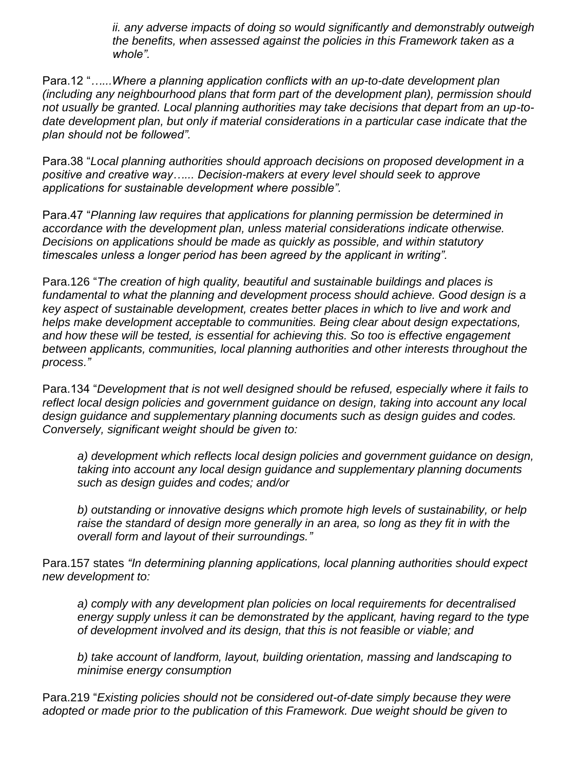*ii. any adverse impacts of doing so would significantly and demonstrably outweigh the benefits, when assessed against the policies in this Framework taken as a whole".*

Para.12 "*…...Where a planning application conflicts with an up-to-date development plan (including any neighbourhood plans that form part of the development plan), permission should not usually be granted. Local planning authorities may take decisions that depart from an up-todate development plan, but only if material considerations in a particular case indicate that the plan should not be followed".*

Para.38 "*Local planning authorities should approach decisions on proposed development in a positive and creative way…... Decision-makers at every level should seek to approve applications for sustainable development where possible".*

Para.47 "*Planning law requires that applications for planning permission be determined in accordance with the development plan, unless material considerations indicate otherwise. Decisions on applications should be made as quickly as possible, and within statutory timescales unless a longer period has been agreed by the applicant in writing".*

Para.126 "*The creation of high quality, beautiful and sustainable buildings and places is fundamental to what the planning and development process should achieve. Good design is a key aspect of sustainable development, creates better places in which to live and work and helps make development acceptable to communities. Being clear about design expectations, and how these will be tested, is essential for achieving this. So too is effective engagement between applicants, communities, local planning authorities and other interests throughout the process."*

Para.134 "*Development that is not well designed should be refused, especially where it fails to reflect local design policies and government guidance on design, taking into account any local design guidance and supplementary planning documents such as design guides and codes. Conversely, significant weight should be given to:* 

*a) development which reflects local design policies and government guidance on design, taking into account any local design guidance and supplementary planning documents such as design guides and codes; and/or*

*b) outstanding or innovative designs which promote high levels of sustainability, or help raise the standard of design more generally in an area, so long as they fit in with the overall form and layout of their surroundings."*

Para.157 states *"In determining planning applications, local planning authorities should expect new development to:* 

*a) comply with any development plan policies on local requirements for decentralised energy supply unless it can be demonstrated by the applicant, having regard to the type of development involved and its design, that this is not feasible or viable; and* 

*b) take account of landform, layout, building orientation, massing and landscaping to minimise energy consumption*

Para.219 "*Existing policies should not be considered out-of-date simply because they were adopted or made prior to the publication of this Framework. Due weight should be given to*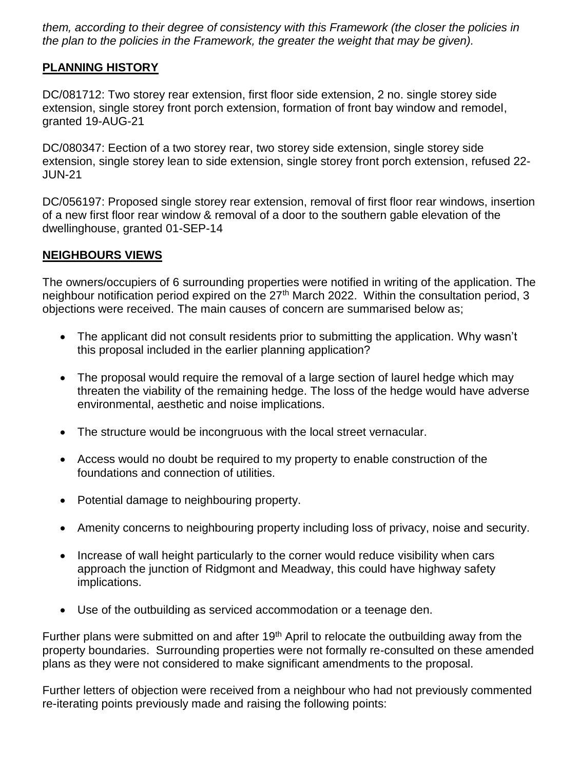*them, according to their degree of consistency with this Framework (the closer the policies in the plan to the policies in the Framework, the greater the weight that may be given).*

# **PLANNING HISTORY**

DC/081712: Two storey rear extension, first floor side extension, 2 no. single storey side extension, single storey front porch extension, formation of front bay window and remodel, granted 19-AUG-21

DC/080347: Eection of a two storey rear, two storey side extension, single storey side extension, single storey lean to side extension, single storey front porch extension, refused 22- JUN-21

DC/056197: Proposed single storey rear extension, removal of first floor rear windows, insertion of a new first floor rear window & removal of a door to the southern gable elevation of the dwellinghouse, granted 01-SEP-14

## **NEIGHBOURS VIEWS**

The owners/occupiers of 6 surrounding properties were notified in writing of the application. The neighbour notification period expired on the 27<sup>th</sup> March 2022. Within the consultation period, 3 objections were received. The main causes of concern are summarised below as;

- The applicant did not consult residents prior to submitting the application. Why wasn't this proposal included in the earlier planning application?
- The proposal would require the removal of a large section of laurel hedge which may threaten the viability of the remaining hedge. The loss of the hedge would have adverse environmental, aesthetic and noise implications.
- The structure would be incongruous with the local street vernacular.
- Access would no doubt be required to my property to enable construction of the foundations and connection of utilities.
- Potential damage to neighbouring property.
- Amenity concerns to neighbouring property including loss of privacy, noise and security.
- Increase of wall height particularly to the corner would reduce visibility when cars approach the junction of Ridgmont and Meadway, this could have highway safety implications.
- Use of the outbuilding as serviced accommodation or a teenage den.

Further plans were submitted on and after 19<sup>th</sup> April to relocate the outbuilding away from the property boundaries. Surrounding properties were not formally re-consulted on these amended plans as they were not considered to make significant amendments to the proposal.

Further letters of objection were received from a neighbour who had not previously commented re-iterating points previously made and raising the following points: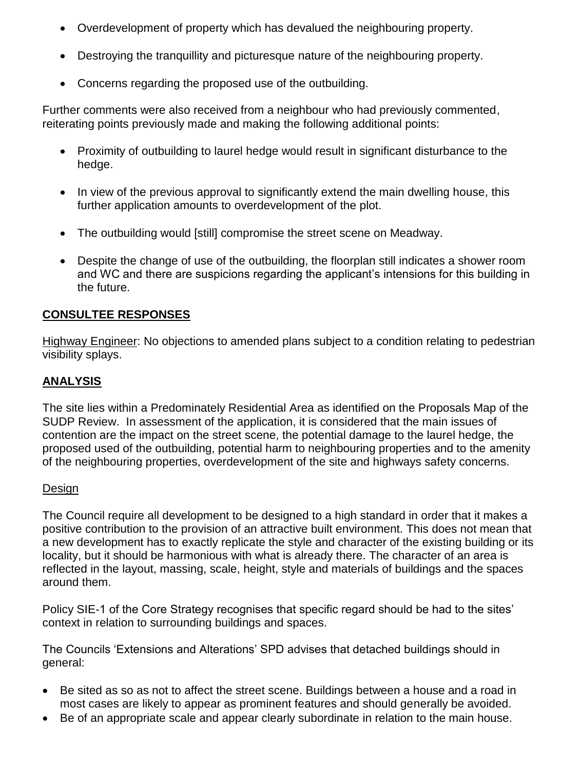- Overdevelopment of property which has devalued the neighbouring property.
- Destroying the tranquillity and picturesque nature of the neighbouring property.
- Concerns regarding the proposed use of the outbuilding.

Further comments were also received from a neighbour who had previously commented, reiterating points previously made and making the following additional points:

- Proximity of outbuilding to laurel hedge would result in significant disturbance to the hedge.
- In view of the previous approval to significantly extend the main dwelling house, this further application amounts to overdevelopment of the plot.
- The outbuilding would [still] compromise the street scene on Meadway.
- Despite the change of use of the outbuilding, the floorplan still indicates a shower room and WC and there are suspicions regarding the applicant's intensions for this building in the future.

# **CONSULTEE RESPONSES**

Highway Engineer: No objections to amended plans subject to a condition relating to pedestrian visibility splays.

# **ANALYSIS**

The site lies within a Predominately Residential Area as identified on the Proposals Map of the SUDP Review. In assessment of the application, it is considered that the main issues of contention are the impact on the street scene, the potential damage to the laurel hedge, the proposed used of the outbuilding, potential harm to neighbouring properties and to the amenity of the neighbouring properties, overdevelopment of the site and highways safety concerns.

### Design

The Council require all development to be designed to a high standard in order that it makes a positive contribution to the provision of an attractive built environment. This does not mean that a new development has to exactly replicate the style and character of the existing building or its locality, but it should be harmonious with what is already there. The character of an area is reflected in the layout, massing, scale, height, style and materials of buildings and the spaces around them.

Policy SIE-1 of the Core Strategy recognises that specific regard should be had to the sites' context in relation to surrounding buildings and spaces.

The Councils 'Extensions and Alterations' SPD advises that detached buildings should in general:

- Be sited as so as not to affect the street scene. Buildings between a house and a road in most cases are likely to appear as prominent features and should generally be avoided.
- Be of an appropriate scale and appear clearly subordinate in relation to the main house.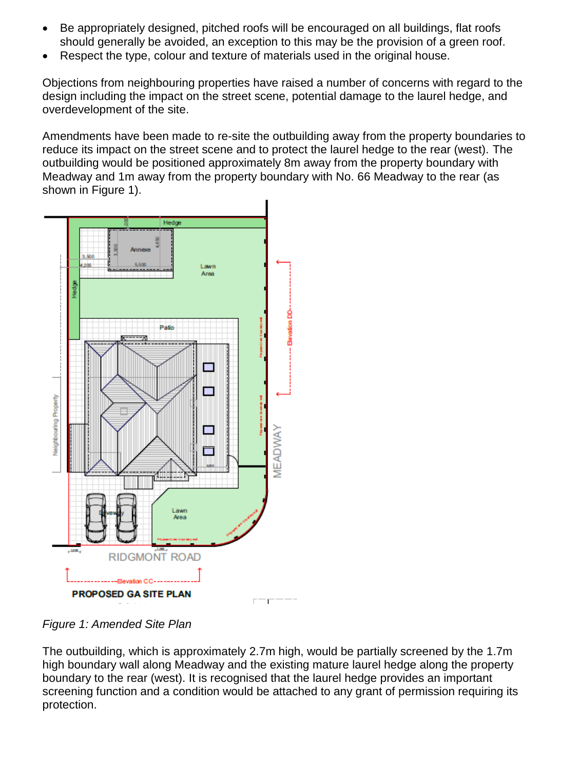- Be appropriately designed, pitched roofs will be encouraged on all buildings, flat roofs should generally be avoided, an exception to this may be the provision of a green roof.
- Respect the type, colour and texture of materials used in the original house.

Objections from neighbouring properties have raised a number of concerns with regard to the design including the impact on the street scene, potential damage to the laurel hedge, and overdevelopment of the site.

Amendments have been made to re-site the outbuilding away from the property boundaries to reduce its impact on the street scene and to protect the laurel hedge to the rear (west). The outbuilding would be positioned approximately 8m away from the property boundary with Meadway and 1m away from the property boundary with No. 66 Meadway to the rear (as shown in Figure 1).



*Figure 1: Amended Site Plan*

The outbuilding, which is approximately 2.7m high, would be partially screened by the 1.7m high boundary wall along Meadway and the existing mature laurel hedge along the property boundary to the rear (west). It is recognised that the laurel hedge provides an important screening function and a condition would be attached to any grant of permission requiring its protection.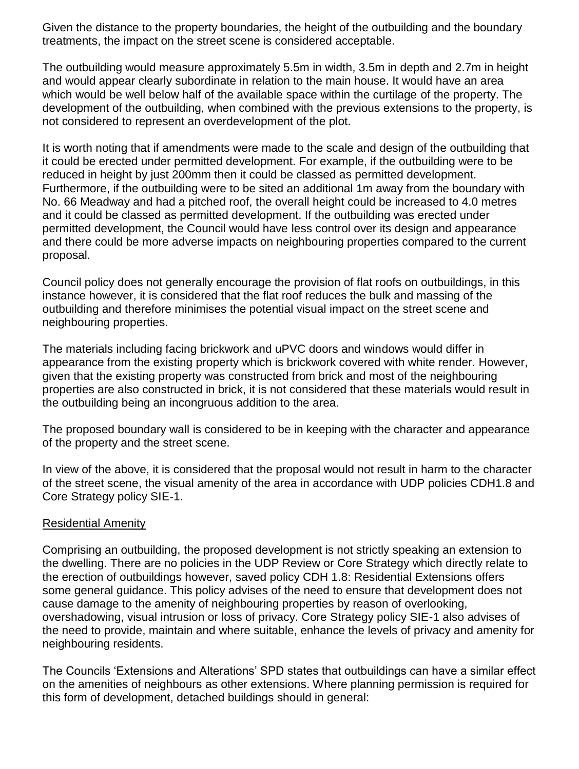Given the distance to the property boundaries, the height of the outbuilding and the boundary treatments, the impact on the street scene is considered acceptable.

The outbuilding would measure approximately 5.5m in width, 3.5m in depth and 2.7m in height and would appear clearly subordinate in relation to the main house. It would have an area which would be well below half of the available space within the curtilage of the property. The development of the outbuilding, when combined with the previous extensions to the property, is not considered to represent an overdevelopment of the plot.

It is worth noting that if amendments were made to the scale and design of the outbuilding that it could be erected under permitted development. For example, if the outbuilding were to be reduced in height by just 200mm then it could be classed as permitted development. Furthermore, if the outbuilding were to be sited an additional 1m away from the boundary with No. 66 Meadway and had a pitched roof, the overall height could be increased to 4.0 metres and it could be classed as permitted development. If the outbuilding was erected under permitted development, the Council would have less control over its design and appearance and there could be more adverse impacts on neighbouring properties compared to the current proposal.

Council policy does not generally encourage the provision of flat roofs on outbuildings, in this instance however, it is considered that the flat roof reduces the bulk and massing of the outbuilding and therefore minimises the potential visual impact on the street scene and neighbouring properties.

The materials including facing brickwork and uPVC doors and windows would differ in appearance from the existing property which is brickwork covered with white render. However, given that the existing property was constructed from brick and most of the neighbouring properties are also constructed in brick, it is not considered that these materials would result in the outbuilding being an incongruous addition to the area.

The proposed boundary wall is considered to be in keeping with the character and appearance of the property and the street scene.

In view of the above, it is considered that the proposal would not result in harm to the character of the street scene, the visual amenity of the area in accordance with UDP policies CDH1.8 and Core Strategy policy SIE-1.

### Residential Amenity

Comprising an outbuilding, the proposed development is not strictly speaking an extension to the dwelling. There are no policies in the UDP Review or Core Strategy which directly relate to the erection of outbuildings however, saved policy CDH 1.8: Residential Extensions offers some general guidance. This policy advises of the need to ensure that development does not cause damage to the amenity of neighbouring properties by reason of overlooking, overshadowing, visual intrusion or loss of privacy. Core Strategy policy SIE-1 also advises of the need to provide, maintain and where suitable, enhance the levels of privacy and amenity for neighbouring residents.

The Councils 'Extensions and Alterations' SPD states that outbuildings can have a similar effect on the amenities of neighbours as other extensions. Where planning permission is required for this form of development, detached buildings should in general: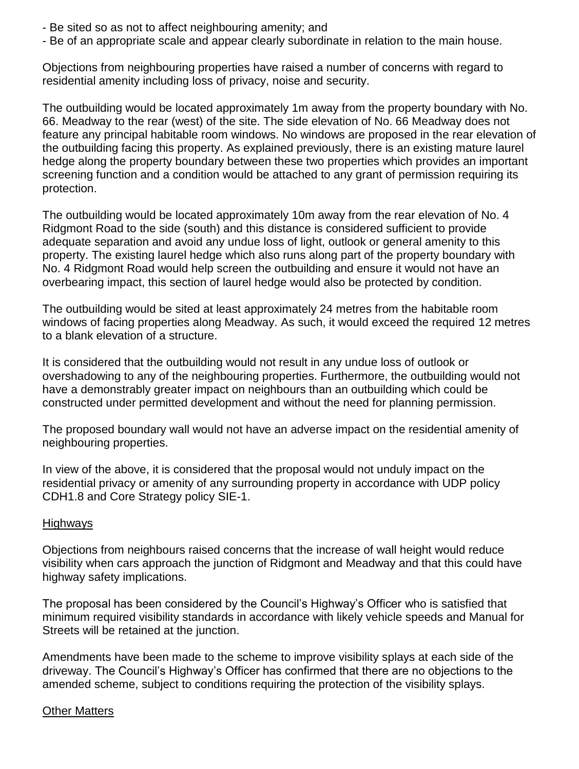- Be sited so as not to affect neighbouring amenity; and
- Be of an appropriate scale and appear clearly subordinate in relation to the main house.

Objections from neighbouring properties have raised a number of concerns with regard to residential amenity including loss of privacy, noise and security.

The outbuilding would be located approximately 1m away from the property boundary with No. 66. Meadway to the rear (west) of the site. The side elevation of No. 66 Meadway does not feature any principal habitable room windows. No windows are proposed in the rear elevation of the outbuilding facing this property. As explained previously, there is an existing mature laurel hedge along the property boundary between these two properties which provides an important screening function and a condition would be attached to any grant of permission requiring its protection.

The outbuilding would be located approximately 10m away from the rear elevation of No. 4 Ridgmont Road to the side (south) and this distance is considered sufficient to provide adequate separation and avoid any undue loss of light, outlook or general amenity to this property. The existing laurel hedge which also runs along part of the property boundary with No. 4 Ridgmont Road would help screen the outbuilding and ensure it would not have an overbearing impact, this section of laurel hedge would also be protected by condition.

The outbuilding would be sited at least approximately 24 metres from the habitable room windows of facing properties along Meadway. As such, it would exceed the required 12 metres to a blank elevation of a structure.

It is considered that the outbuilding would not result in any undue loss of outlook or overshadowing to any of the neighbouring properties. Furthermore, the outbuilding would not have a demonstrably greater impact on neighbours than an outbuilding which could be constructed under permitted development and without the need for planning permission.

The proposed boundary wall would not have an adverse impact on the residential amenity of neighbouring properties.

In view of the above, it is considered that the proposal would not unduly impact on the residential privacy or amenity of any surrounding property in accordance with UDP policy CDH1.8 and Core Strategy policy SIE-1.

### **Highways**

Objections from neighbours raised concerns that the increase of wall height would reduce visibility when cars approach the junction of Ridgmont and Meadway and that this could have highway safety implications.

The proposal has been considered by the Council's Highway's Officer who is satisfied that minimum required visibility standards in accordance with likely vehicle speeds and Manual for Streets will be retained at the junction.

Amendments have been made to the scheme to improve visibility splays at each side of the driveway. The Council's Highway's Officer has confirmed that there are no objections to the amended scheme, subject to conditions requiring the protection of the visibility splays.

### Other Matters